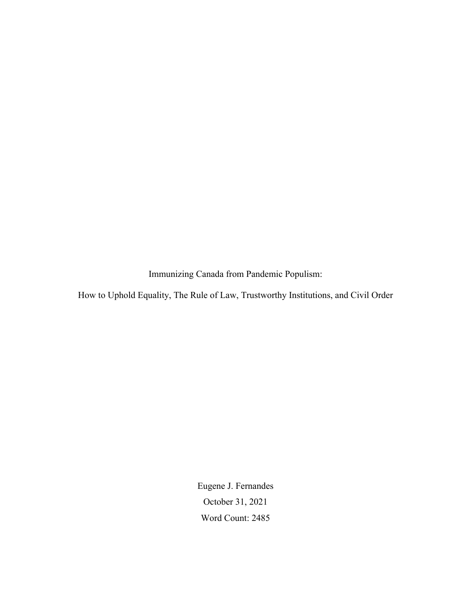Immunizing Canada from Pandemic Populism:

How to Uphold Equality, The Rule of Law, Trustworthy Institutions, and Civil Order

Eugene J. Fernandes October 31, 2021 Word Count: 2485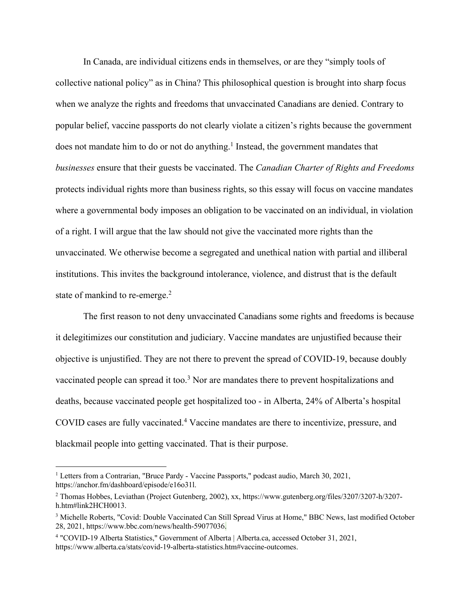In Canada, are individual citizens ends in themselves, or are they "simply tools of collective national policy" as in China? This philosophical question is brought into sharp focus when we analyze the rights and freedoms that unvaccinated Canadians are denied. Contrary to popular belief, vaccine passports do not clearly violate a citizen's rights because the government does not mandate him to do or not do anything. <sup>1</sup> Instead, the government mandates that *businesses* ensure that their guests be vaccinated. The *Canadian Charter of Rights and Freedoms* protects individual rights more than business rights, so this essay will focus on vaccine mandates where a governmental body imposes an obligation to be vaccinated on an individual, in violation of a right. I will argue that the law should not give the vaccinated more rights than the unvaccinated. We otherwise become a segregated and unethical nation with partial and illiberal institutions. This invites the background intolerance, violence, and distrust that is the default state of mankind to re-emerge.<sup>2</sup>

The first reason to not deny unvaccinated Canadians some rights and freedoms is because it delegitimizes our constitution and judiciary. Vaccine mandates are unjustified because their objective is unjustified. They are not there to prevent the spread of COVID-19, because doubly vaccinated people can spread it too.<sup>3</sup> Nor are mandates there to prevent hospitalizations and deaths, because vaccinated people get hospitalized too - in Alberta, 24% of Alberta's hospital COVID cases are fully vaccinated.4 Vaccine mandates are there to incentivize, pressure, and blackmail people into getting vaccinated. That is their purpose.

<sup>&</sup>lt;sup>1</sup> Letters from a Contrarian, "Bruce Pardy - Vaccine Passports," podcast audio, March 30, 2021, https://anchor.fm/dashboard/episode/e16o31l.

<sup>2</sup> Thomas Hobbes, Leviathan (Project Gutenberg, 2002), xx, https://www.gutenberg.org/files/3207/3207-h/3207 h.htm#link2HCH0013.

<sup>3</sup> Michelle Roberts, "Covid: Double Vaccinated Can Still Spread Virus at Home," BBC News, last modified October 28, 2021, https://www.bbc.com/news/health-59077036.

<sup>4</sup> "COVID-19 Alberta Statistics," Government of Alberta | Alberta.ca, accessed October 31, 2021, https://www.alberta.ca/stats/covid-19-alberta-statistics.htm#vaccine-outcomes.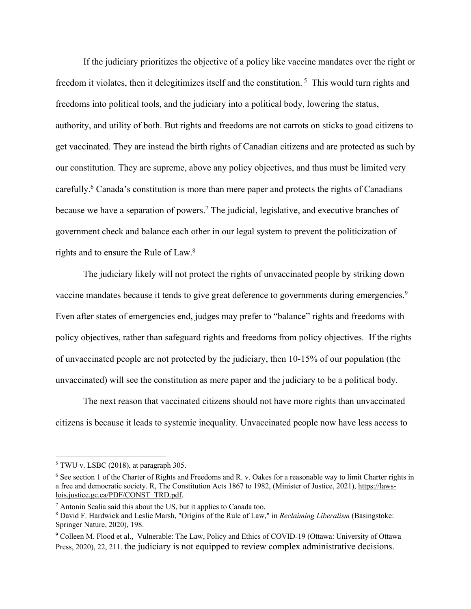If the judiciary prioritizes the objective of a policy like vaccine mandates over the right or freedom it violates, then it delegitimizes itself and the constitution.<sup>5</sup> This would turn rights and freedoms into political tools, and the judiciary into a political body, lowering the status, authority, and utility of both. But rights and freedoms are not carrots on sticks to goad citizens to get vaccinated. They are instead the birth rights of Canadian citizens and are protected as such by our constitution. They are supreme, above any policy objectives, and thus must be limited very carefully.<sup>6</sup> Canada's constitution is more than mere paper and protects the rights of Canadians because we have a separation of powers.<sup>7</sup> The judicial, legislative, and executive branches of government check and balance each other in our legal system to prevent the politicization of rights and to ensure the Rule of Law. 8

The judiciary likely will not protect the rights of unvaccinated people by striking down vaccine mandates because it tends to give great deference to governments during emergencies.<sup>9</sup> Even after states of emergencies end, judges may prefer to "balance" rights and freedoms with policy objectives, rather than safeguard rights and freedoms from policy objectives. If the rights of unvaccinated people are not protected by the judiciary, then 10-15% of our population (the unvaccinated) will see the constitution as mere paper and the judiciary to be a political body.

The next reason that vaccinated citizens should not have more rights than unvaccinated citizens is because it leads to systemic inequality. Unvaccinated people now have less access to

<sup>5</sup> TWU v. LSBC (2018), at paragraph 305.

<sup>&</sup>lt;sup>6</sup> See section 1 of the Charter of Rights and Freedoms and R. v. Oakes for a reasonable way to limit Charter rights in a free and democratic society. R, The Constitution Acts 1867 to 1982, (Minister of Justice, 2021), https://lawslois.justice.gc.ca/PDF/CONST\_TRD.pdf.

<sup>7</sup> Antonin Scalia said this about the US, but it applies to Canada too.

<sup>8</sup> David F. Hardwick and Leslie Marsh, "Origins of the Rule of Law," in *Reclaiming Liberalism* (Basingstoke: Springer Nature, 2020), 198.

<sup>9</sup> Colleen M. Flood et al., Vulnerable: The Law, Policy and Ethics of COVID-19 (Ottawa: University of Ottawa Press, 2020), 22, 211. the judiciary is not equipped to review complex administrative decisions.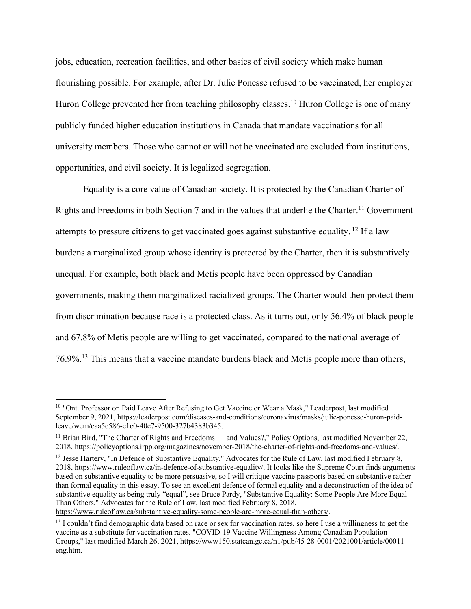jobs, education, recreation facilities, and other basics of civil society which make human flourishing possible. For example, after Dr. Julie Ponesse refused to be vaccinated, her employer Huron College prevented her from teaching philosophy classes.<sup>10</sup> Huron College is one of many publicly funded higher education institutions in Canada that mandate vaccinations for all university members. Those who cannot or will not be vaccinated are excluded from institutions, opportunities, and civil society. It is legalized segregation.

Equality is a core value of Canadian society. It is protected by the Canadian Charter of Rights and Freedoms in both Section 7 and in the values that underlie the Charter.<sup>11</sup> Government attempts to pressure citizens to get vaccinated goes against substantive equality. <sup>12</sup> If a law burdens a marginalized group whose identity is protected by the Charter, then it is substantively unequal. For example, both black and Metis people have been oppressed by Canadian governments, making them marginalized racialized groups. The Charter would then protect them from discrimination because race is a protected class. As it turns out, only 56.4% of black people and 67.8% of Metis people are willing to get vaccinated, compared to the national average of 76.9%.<sup>13</sup> This means that a vaccine mandate burdens black and Metis people more than others,

https://www.ruleoflaw.ca/substantive-equality-some-people-are-more-equal-than-others/.

<sup>&</sup>lt;sup>10</sup> "Ont. Professor on Paid Leave After Refusing to Get Vaccine or Wear a Mask," Leaderpost, last modified September 9, 2021, https://leaderpost.com/diseases-and-conditions/coronavirus/masks/julie-ponesse-huron-paidleave/wcm/caa5e586-c1e0-40c7-9500-327b4383b345.

<sup>&</sup>lt;sup>11</sup> Brian Bird, "The Charter of Rights and Freedoms — and Values?," Policy Options, last modified November 22, 2018, https://policyoptions.irpp.org/magazines/november-2018/the-charter-of-rights-and-freedoms-and-values/.

<sup>&</sup>lt;sup>12</sup> Jesse Hartery, "In Defence of Substantive Equality," Advocates for the Rule of Law, last modified February 8, 2018, https://www.ruleoflaw.ca/in-defence-of-substantive-equality/. It looks like the Supreme Court finds arguments based on substantive equality to be more persuasive, so I will critique vaccine passports based on substantive rather than formal equality in this essay. To see an excellent defence of formal equality and a deconstruction of the idea of substantive equality as being truly "equal", see Bruce Pardy, "Substantive Equality: Some People Are More Equal Than Others," Advocates for the Rule of Law, last modified February 8, 2018,

<sup>&</sup>lt;sup>13</sup> I couldn't find demographic data based on race or sex for vaccination rates, so here I use a willingness to get the vaccine as a substitute for vaccination rates. "COVID-19 Vaccine Willingness Among Canadian Population Groups," last modified March 26, 2021, https://www150.statcan.gc.ca/n1/pub/45-28-0001/2021001/article/00011 eng.htm.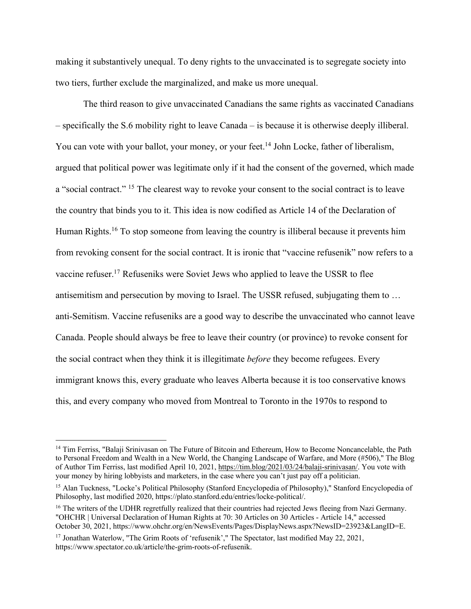making it substantively unequal. To deny rights to the unvaccinated is to segregate society into two tiers, further exclude the marginalized, and make us more unequal.

The third reason to give unvaccinated Canadians the same rights as vaccinated Canadians – specifically the S.6 mobility right to leave Canada – is because it is otherwise deeply illiberal. You can vote with your ballot, your money, or your feet.<sup>14</sup> John Locke, father of liberalism, argued that political power was legitimate only if it had the consent of the governed, which made a "social contract." <sup>15</sup> The clearest way to revoke your consent to the social contract is to leave the country that binds you to it. This idea is now codified as Article 14 of the Declaration of Human Rights.<sup>16</sup> To stop someone from leaving the country is illiberal because it prevents him from revoking consent for the social contract. It is ironic that "vaccine refusenik" now refers to a vaccine refuser.<sup>17</sup> Refuseniks were Soviet Jews who applied to leave the USSR to flee antisemitism and persecution by moving to Israel. The USSR refused, subjugating them to … anti-Semitism. Vaccine refuseniks are a good way to describe the unvaccinated who cannot leave Canada. People should always be free to leave their country (or province) to revoke consent for the social contract when they think it is illegitimate *before* they become refugees. Every immigrant knows this, every graduate who leaves Alberta because it is too conservative knows this, and every company who moved from Montreal to Toronto in the 1970s to respond to

<sup>&</sup>lt;sup>14</sup> Tim Ferriss, "Balaji Srinivasan on The Future of Bitcoin and Ethereum, How to Become Noncancelable, the Path to Personal Freedom and Wealth in a New World, the Changing Landscape of Warfare, and More (#506)," The Blog of Author Tim Ferriss, last modified April 10, 2021, https://tim.blog/2021/03/24/balaji-srinivasan/. You vote with your money by hiring lobbyists and marketers, in the case where you can't just pay off a politician.

<sup>&</sup>lt;sup>15</sup> Alan Tuckness, "Locke's Political Philosophy (Stanford Encyclopedia of Philosophy)," Stanford Encyclopedia of Philosophy, last modified 2020, https://plato.stanford.edu/entries/locke-political/.

<sup>&</sup>lt;sup>16</sup> The writers of the UDHR regretfully realized that their countries had rejected Jews fleeing from Nazi Germany. "OHCHR | Universal Declaration of Human Rights at 70: 30 Articles on 30 Articles - Article 14," accessed October 30, 2021, https://www.ohchr.org/en/NewsEvents/Pages/DisplayNews.aspx?NewsID=23923&LangID=E.

<sup>&</sup>lt;sup>17</sup> Jonathan Waterlow, "The Grim Roots of 'refusenik'," The Spectator, last modified May 22, 2021, https://www.spectator.co.uk/article/the-grim-roots-of-refusenik.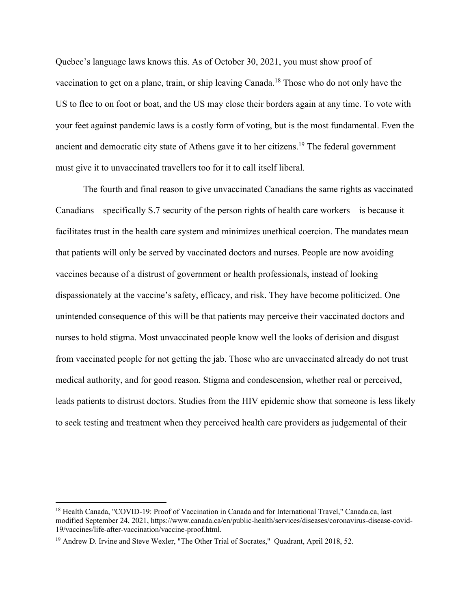Quebec's language laws knows this. As of October 30, 2021, you must show proof of vaccination to get on a plane, train, or ship leaving Canada.18 Those who do not only have the US to flee to on foot or boat, and the US may close their borders again at any time. To vote with your feet against pandemic laws is a costly form of voting, but is the most fundamental. Even the ancient and democratic city state of Athens gave it to her citizens.19 The federal government must give it to unvaccinated travellers too for it to call itself liberal.

The fourth and final reason to give unvaccinated Canadians the same rights as vaccinated Canadians – specifically S.7 security of the person rights of health care workers – is because it facilitates trust in the health care system and minimizes unethical coercion. The mandates mean that patients will only be served by vaccinated doctors and nurses. People are now avoiding vaccines because of a distrust of government or health professionals, instead of looking dispassionately at the vaccine's safety, efficacy, and risk. They have become politicized. One unintended consequence of this will be that patients may perceive their vaccinated doctors and nurses to hold stigma. Most unvaccinated people know well the looks of derision and disgust from vaccinated people for not getting the jab. Those who are unvaccinated already do not trust medical authority, and for good reason. Stigma and condescension, whether real or perceived, leads patients to distrust doctors. Studies from the HIV epidemic show that someone is less likely to seek testing and treatment when they perceived health care providers as judgemental of their

<sup>&</sup>lt;sup>18</sup> Health Canada, "COVID-19: Proof of Vaccination in Canada and for International Travel," Canada.ca, last modified September 24, 2021, https://www.canada.ca/en/public-health/services/diseases/coronavirus-disease-covid-19/vaccines/life-after-vaccination/vaccine-proof.html.

<sup>&</sup>lt;sup>19</sup> Andrew D. Irvine and Steve Wexler, "The Other Trial of Socrates," Quadrant, April 2018, 52.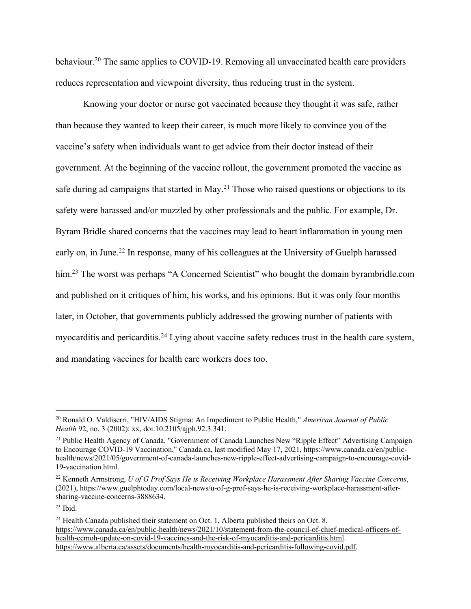behaviour.<sup>20</sup> The same applies to COVID-19. Removing all unvaccinated health care providers reduces representation and viewpoint diversity, thus reducing trust in the system.

Knowing your doctor or nurse got vaccinated because they thought it was safe, rather than because they wanted to keep their career, is much more likely to convince you of the vaccine's safety when individuals want to get advice from their doctor instead of their government. At the beginning of the vaccine rollout, the government promoted the vaccine as safe during ad campaigns that started in May.<sup>21</sup> Those who raised questions or objections to its safety were harassed and/or muzzled by other professionals and the public. For example, Dr. Byram Bridle shared concerns that the vaccines may lead to heart inflammation in young men early on, in June.<sup>22</sup> In response, many of his colleagues at the University of Guelph harassed him.<sup>23</sup> The worst was perhaps "A Concerned Scientist" who bought the domain byrambridle.com and published on it critiques of him, his works, and his opinions. But it was only four months later, in October, that governments publicly addressed the growing number of patients with myocarditis and pericarditis.<sup>24</sup> Lying about vaccine safety reduces trust in the health care system, and mandating vaccines for health care workers does too.

<sup>20</sup> Ronald O. Valdiserri, "HIV/AIDS Stigma: An Impediment to Public Health," *American Journal of Public Health* 92, no. 3 (2002): xx, doi:10.2105/ajph.92.3.341.

<sup>&</sup>lt;sup>21</sup> Public Health Agency of Canada, "Government of Canada Launches New "Ripple Effect" Advertising Campaign to Encourage COVID-19 Vaccination," Canada.ca, last modified May 17, 2021, https://www.canada.ca/en/publichealth/news/2021/05/government-of-canada-launches-new-ripple-effect-advertising-campaign-to-encourage-covid-19-vaccination.html.

<sup>22</sup> Kenneth Armstrong, *U of G Prof Says He is Receiving Workplace Harassment After Sharing Vaccine Concerns*, (2021), https://www.guelphtoday.com/local-news/u-of-g-prof-says-he-is-receiving-workplace-harassment-aftersharing-vaccine-concerns-3888634.

 $23$  Ibid.

<sup>&</sup>lt;sup>24</sup> Health Canada published their statement on Oct. 1, Alberta published theirs on Oct. 8. https://www.canada.ca/en/public-health/news/2021/10/statement-from-the-council-of-chief-medical-officers-ofhealth-ccmoh-update-on-covid-19-vaccines-and-the-risk-of-myocarditis-and-pericarditis.html. https://www.alberta.ca/assets/documents/health-myocarditis-and-pericarditis-following-covid.pdf.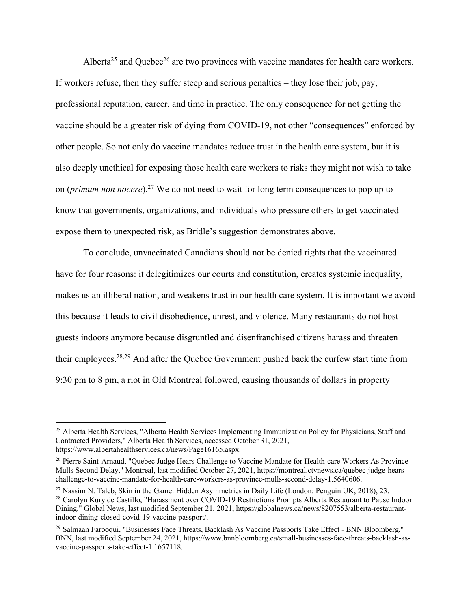Alberta<sup>25</sup> and Quebec<sup>26</sup> are two provinces with vaccine mandates for health care workers. If workers refuse, then they suffer steep and serious penalties – they lose their job, pay, professional reputation, career, and time in practice. The only consequence for not getting the vaccine should be a greater risk of dying from COVID-19, not other "consequences" enforced by other people. So not only do vaccine mandates reduce trust in the health care system, but it is also deeply unethical for exposing those health care workers to risks they might not wish to take on (*primum non nocere*).27 We do not need to wait for long term consequences to pop up to know that governments, organizations, and individuals who pressure others to get vaccinated expose them to unexpected risk, as Bridle's suggestion demonstrates above.

To conclude, unvaccinated Canadians should not be denied rights that the vaccinated have for four reasons: it delegitimizes our courts and constitution, creates systemic inequality, makes us an illiberal nation, and weakens trust in our health care system. It is important we avoid this because it leads to civil disobedience, unrest, and violence. Many restaurants do not host guests indoors anymore because disgruntled and disenfranchised citizens harass and threaten their employees.<sup>28,29</sup> And after the Quebec Government pushed back the curfew start time from 9:30 pm to 8 pm, a riot in Old Montreal followed, causing thousands of dollars in property

<sup>&</sup>lt;sup>25</sup> Alberta Health Services, "Alberta Health Services Implementing Immunization Policy for Physicians, Staff and Contracted Providers," Alberta Health Services, accessed October 31, 2021, https://www.albertahealthservices.ca/news/Page16165.aspx.

<sup>&</sup>lt;sup>26</sup> Pierre Saint-Arnaud, "Quebec Judge Hears Challenge to Vaccine Mandate for Health-care Workers As Province Mulls Second Delay," Montreal, last modified October 27, 2021, https://montreal.ctvnews.ca/quebec-judge-hearschallenge-to-vaccine-mandate-for-health-care-workers-as-province-mulls-second-delay-1.5640606.

<sup>&</sup>lt;sup>27</sup> Nassim N. Taleb, Skin in the Game: Hidden Asymmetries in Daily Life (London: Penguin UK, 2018), 23. <sup>28</sup> Carolyn Kury de Castillo, "Harassment over COVID-19 Restrictions Prompts Alberta Restaurant to Pause Indoor Dining," Global News, last modified September 21, 2021, https://globalnews.ca/news/8207553/alberta-restaurantindoor-dining-closed-covid-19-vaccine-passport/.

<sup>&</sup>lt;sup>29</sup> Salmaan Farooqui, "Businesses Face Threats, Backlash As Vaccine Passports Take Effect - BNN Bloomberg," BNN, last modified September 24, 2021, https://www.bnnbloomberg.ca/small-businesses-face-threats-backlash-asvaccine-passports-take-effect-1.1657118.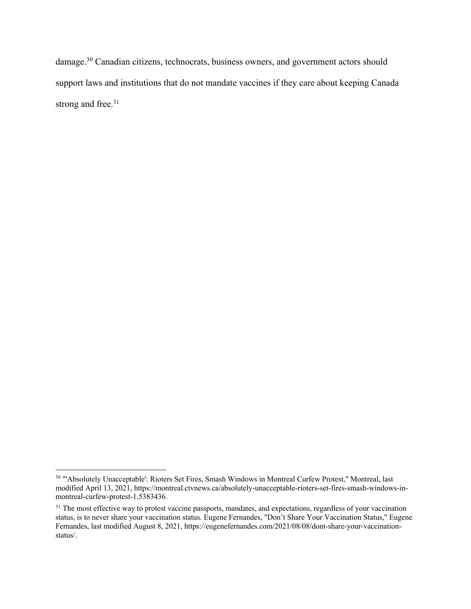damage.30 Canadian citizens, technocrats, business owners, and government actors should support laws and institutions that do not mandate vaccines if they care about keeping Canada strong and free.<sup>31</sup>

<sup>30</sup> "'Absolutely Unacceptable': Rioters Set Fires, Smash Windows in Montreal Curfew Protest," Montreal, last modified April 13, 2021, https://montreal.ctvnews.ca/absolutely-unacceptable-rioters-set-fires-smash-windows-inmontreal-curfew-protest-1.5383436.

<sup>&</sup>lt;sup>31</sup> The most effective way to protest vaccine passports, mandates, and expectations, regardless of your vaccination status, is to never share your vaccination status. Eugene Fernandes, "Don't Share Your Vaccination Status," Eugene Fernandes, last modified August 8, 2021, https://eugenefernandes.com/2021/08/08/dont-share-your-vaccinationstatus/.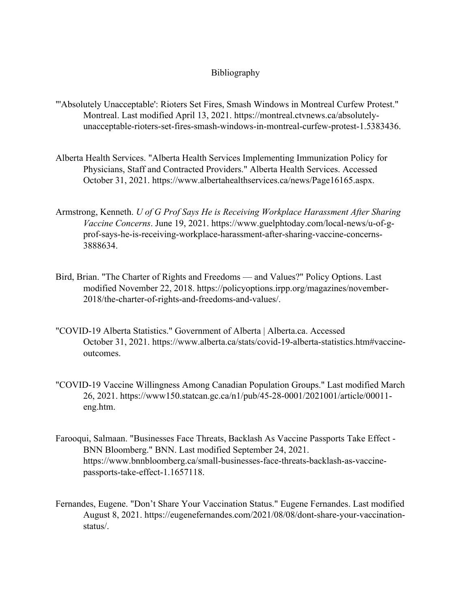## Bibliography

- "'Absolutely Unacceptable': Rioters Set Fires, Smash Windows in Montreal Curfew Protest." Montreal. Last modified April 13, 2021. https://montreal.ctvnews.ca/absolutelyunacceptable-rioters-set-fires-smash-windows-in-montreal-curfew-protest-1.5383436.
- Alberta Health Services. "Alberta Health Services Implementing Immunization Policy for Physicians, Staff and Contracted Providers." Alberta Health Services. Accessed October 31, 2021. https://www.albertahealthservices.ca/news/Page16165.aspx.
- Armstrong, Kenneth. *U of G Prof Says He is Receiving Workplace Harassment After Sharing Vaccine Concerns*. June 19, 2021. https://www.guelphtoday.com/local-news/u-of-gprof-says-he-is-receiving-workplace-harassment-after-sharing-vaccine-concerns-3888634.
- Bird, Brian. "The Charter of Rights and Freedoms and Values?" Policy Options. Last modified November 22, 2018. https://policyoptions.irpp.org/magazines/november-2018/the-charter-of-rights-and-freedoms-and-values/.
- "COVID-19 Alberta Statistics." Government of Alberta | Alberta.ca. Accessed October 31, 2021. https://www.alberta.ca/stats/covid-19-alberta-statistics.htm#vaccineoutcomes.
- "COVID-19 Vaccine Willingness Among Canadian Population Groups." Last modified March 26, 2021. https://www150.statcan.gc.ca/n1/pub/45-28-0001/2021001/article/00011 eng.htm.
- Farooqui, Salmaan. "Businesses Face Threats, Backlash As Vaccine Passports Take Effect BNN Bloomberg." BNN. Last modified September 24, 2021. https://www.bnnbloomberg.ca/small-businesses-face-threats-backlash-as-vaccinepassports-take-effect-1.1657118.
- Fernandes, Eugene. "Don't Share Your Vaccination Status." Eugene Fernandes. Last modified August 8, 2021. https://eugenefernandes.com/2021/08/08/dont-share-your-vaccinationstatus/.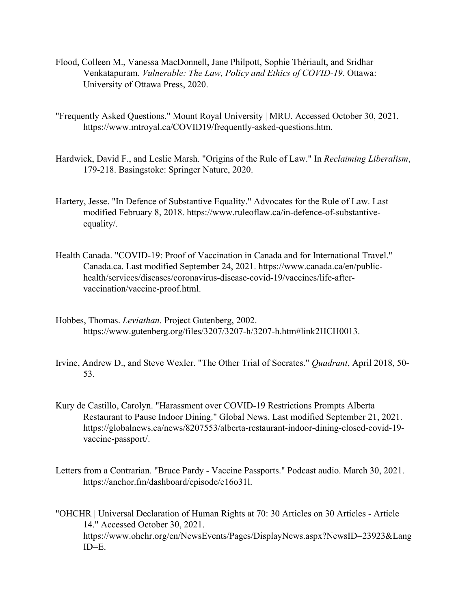- Flood, Colleen M., Vanessa MacDonnell, Jane Philpott, Sophie Thériault, and Sridhar Venkatapuram. *Vulnerable: The Law, Policy and Ethics of COVID-19*. Ottawa: University of Ottawa Press, 2020.
- "Frequently Asked Questions." Mount Royal University | MRU. Accessed October 30, 2021. https://www.mtroyal.ca/COVID19/frequently-asked-questions.htm.
- Hardwick, David F., and Leslie Marsh. "Origins of the Rule of Law." In *Reclaiming Liberalism*, 179-218. Basingstoke: Springer Nature, 2020.
- Hartery, Jesse. "In Defence of Substantive Equality." Advocates for the Rule of Law. Last modified February 8, 2018. https://www.ruleoflaw.ca/in-defence-of-substantiveequality/.
- Health Canada. "COVID-19: Proof of Vaccination in Canada and for International Travel." Canada.ca. Last modified September 24, 2021. https://www.canada.ca/en/publichealth/services/diseases/coronavirus-disease-covid-19/vaccines/life-aftervaccination/vaccine-proof.html.
- Hobbes, Thomas. *Leviathan*. Project Gutenberg, 2002. https://www.gutenberg.org/files/3207/3207-h/3207-h.htm#link2HCH0013.
- Irvine, Andrew D., and Steve Wexler. "The Other Trial of Socrates." *Quadrant*, April 2018, 50- 53.
- Kury de Castillo, Carolyn. "Harassment over COVID-19 Restrictions Prompts Alberta Restaurant to Pause Indoor Dining." Global News. Last modified September 21, 2021. https://globalnews.ca/news/8207553/alberta-restaurant-indoor-dining-closed-covid-19 vaccine-passport/.
- Letters from a Contrarian. "Bruce Pardy Vaccine Passports." Podcast audio. March 30, 2021. https://anchor.fm/dashboard/episode/e16o31l.
- "OHCHR | Universal Declaration of Human Rights at 70: 30 Articles on 30 Articles Article 14." Accessed October 30, 2021. https://www.ohchr.org/en/NewsEvents/Pages/DisplayNews.aspx?NewsID=23923&Lang  $ID=E$ .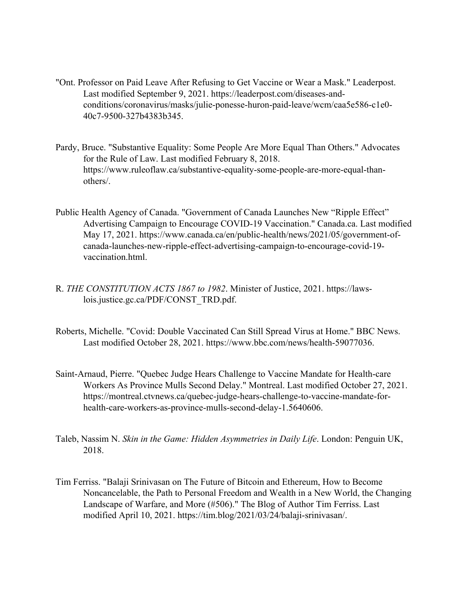- "Ont. Professor on Paid Leave After Refusing to Get Vaccine or Wear a Mask." Leaderpost. Last modified September 9, 2021. https://leaderpost.com/diseases-andconditions/coronavirus/masks/julie-ponesse-huron-paid-leave/wcm/caa5e586-c1e0- 40c7-9500-327b4383b345.
- Pardy, Bruce. "Substantive Equality: Some People Are More Equal Than Others." Advocates for the Rule of Law. Last modified February 8, 2018. https://www.ruleoflaw.ca/substantive-equality-some-people-are-more-equal-thanothers/.
- Public Health Agency of Canada. "Government of Canada Launches New "Ripple Effect" Advertising Campaign to Encourage COVID-19 Vaccination." Canada.ca. Last modified May 17, 2021. https://www.canada.ca/en/public-health/news/2021/05/government-ofcanada-launches-new-ripple-effect-advertising-campaign-to-encourage-covid-19 vaccination.html.
- R. *THE CONSTITUTION ACTS 1867 to 1982*. Minister of Justice, 2021. https://lawslois.justice.gc.ca/PDF/CONST\_TRD.pdf.
- Roberts, Michelle. "Covid: Double Vaccinated Can Still Spread Virus at Home." BBC News. Last modified October 28, 2021. https://www.bbc.com/news/health-59077036.
- Saint-Arnaud, Pierre. "Quebec Judge Hears Challenge to Vaccine Mandate for Health-care Workers As Province Mulls Second Delay." Montreal. Last modified October 27, 2021. https://montreal.ctvnews.ca/quebec-judge-hears-challenge-to-vaccine-mandate-forhealth-care-workers-as-province-mulls-second-delay-1.5640606.
- Taleb, Nassim N. *Skin in the Game: Hidden Asymmetries in Daily Life*. London: Penguin UK, 2018.
- Tim Ferriss. "Balaji Srinivasan on The Future of Bitcoin and Ethereum, How to Become Noncancelable, the Path to Personal Freedom and Wealth in a New World, the Changing Landscape of Warfare, and More (#506)." The Blog of Author Tim Ferriss. Last modified April 10, 2021. https://tim.blog/2021/03/24/balaji-srinivasan/.